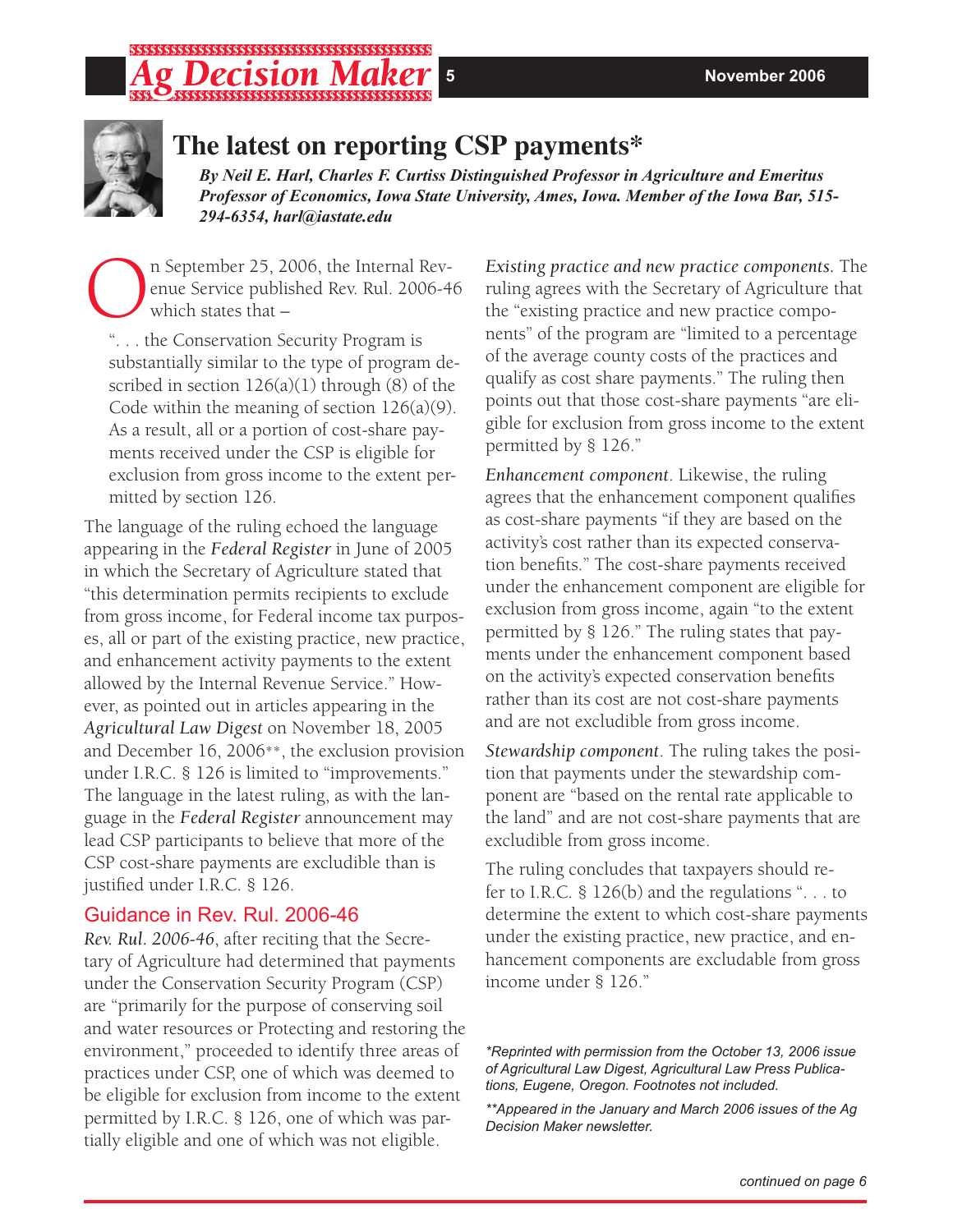#### *continued on page 6*

# \*\*\*\*\*\*\*\*\*\*\*\*\*\*\*\*\*\*\*\*\*\*\*\*\*\*\*\*\*\*\*\*\*\*\*\*\*



# **The latest on reporting CSP payments\***

*By Neil E. Harl, Charles F. Curtiss Distinguished Professor in Agriculture and Emeritus Professor of Economics, Iowa State University, Ames, Iowa. Member of the Iowa Bar, 515- 294-6354, harl@iastate.edu*

The September 25, 2006, the Internal Rev-<br>
enue Service published Rev. Rul. 2006-4<br>
which states that – enue Service published Rev. Rul. 2006-46 which states that –

". . . the Conservation Security Program is substantially similar to the type of program described in section  $126(a)(1)$  through  $(8)$  of the Code within the meaning of section  $126(a)(9)$ . As a result, all or a portion of cost-share payments received under the CSP is eligible for exclusion from gross income to the extent permitted by section 126.

The language of the ruling echoed the language appearing in the *Federal Register* in June of 2005 in which the Secretary of Agriculture stated that "this determination permits recipients to exclude from gross income, for Federal income tax purposes, all or part of the existing practice, new practice, and enhancement activity payments to the extent allowed by the Internal Revenue Service." However, as pointed out in articles appearing in the *Agricultural Law Digest* on November 18, 2005 and December 16, 2006\*\*, the exclusion provision under I.R.C. § 126 is limited to "improvements." The language in the latest ruling, as with the language in the *Federal Register* announcement may lead CSP participants to believe that more of the CSP cost-share payments are excludible than is justified under I.R.C. § 126.

# Guidance in Rev. Rul. 2006-46

*Rev. Rul. 2006-46*, after reciting that the Secretary of Agriculture had determined that payments under the Conservation Security Program (CSP) are "primarily for the purpose of conserving soil and water resources or Protecting and restoring the environment," proceeded to identify three areas of practices under CSP, one of which was deemed to be eligible for exclusion from income to the extent permitted by I.R.C. § 126, one of which was partially eligible and one of which was not eligible.

*Existing practice and new practice components.* The ruling agrees with the Secretary of Agriculture that the "existing practice and new practice components" of the program are "limited to a percentage of the average county costs of the practices and qualify as cost share payments." The ruling then points out that those cost-share payments "are eligible for exclusion from gross income to the extent permitted by § 126."

*Enhancement component*. Likewise, the ruling agrees that the enhancement component qualifies as cost-share payments "if they are based on the activity's cost rather than its expected conservation benefits." The cost-share payments received under the enhancement component are eligible for exclusion from gross income, again "to the extent permitted by § 126." The ruling states that payments under the enhancement component based on the activity's expected conservation benefits rather than its cost are not cost-share payments and are not excludible from gross income.

*Stewardship component*. The ruling takes the position that payments under the stewardship component are "based on the rental rate applicable to the land" and are not cost-share payments that are excludible from gross income.

The ruling concludes that taxpayers should refer to I.R.C. § 126(b) and the regulations ". . . to determine the extent to which cost-share payments under the existing practice, new practice, and enhancement components are excludable from gross income under § 126."

*\*\*Appeared in the January and March 2006 issues of the Ag Decision Maker newsletter.*

*<sup>\*</sup>Reprinted with permission from the October 13, 2006 issue of Agricultural Law Digest, Agricultural Law Press Publications, Eugene, Oregon. Footnotes not included.*